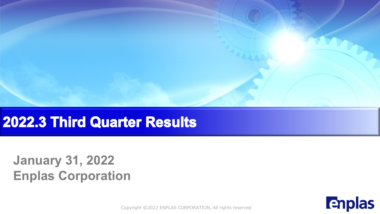

### 2022.3 Third Quarter Results

### **January 31, 2022 Enplas Corporation**

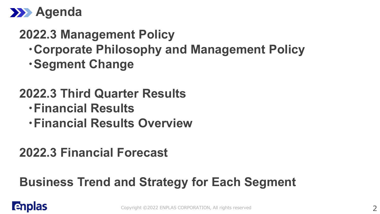

### **2022.3 Management Policy**

- **・Corporate Philosophy and Management Policy**
- **・Segment Change**

### **2022.3 Third Quarter Results**

- **・Financial Results**
- **・Financial Results Overview**

### **2022.3 Financial Forecast**

### **Business Trend and Strategy for Each Segment**

### **Enplas**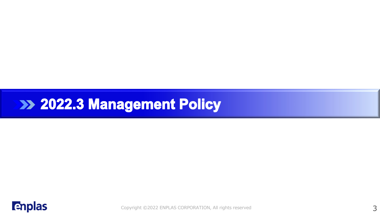## **EXAMPLE 2022.3 Management Policy**

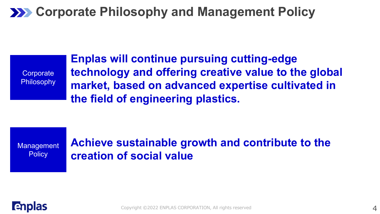### **222 Corporate Philosophy and Management Policy**

**Corporate Philosophy** 

**Enplas will continue pursuing cutting-edge technology and offering creative value to the global market, based on advanced expertise cultivated in the field of engineering plastics.**

**Management Policy** 

**Achieve sustainable growth and contribute to the creation of social value**

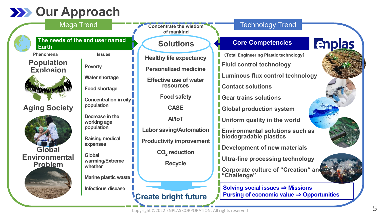### **22 Our Approach**



Copyright ©2022 ENPLAS CORPORATION, All rights reserved

**Pursing of economic value** ⇒ **Opportunities**

**Create bright future**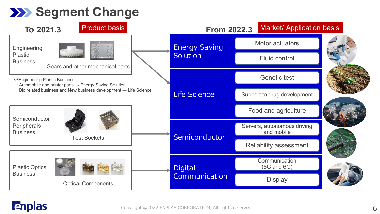### **Segment Change**



### **Enplas**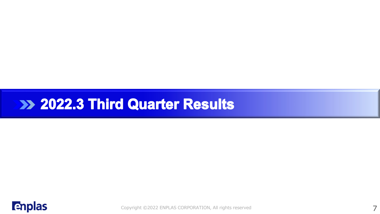### **External 2022.3 Third Quarter Results**

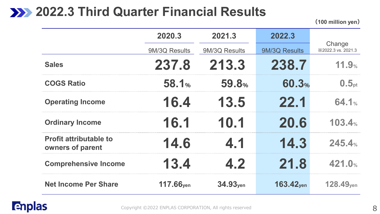### **2022.3 Third Quarter Financial Results**

**(100 million yen)**

|                                                   | 2020.3        | 2021.3               | 2022.3                  |                              |  |  |
|---------------------------------------------------|---------------|----------------------|-------------------------|------------------------------|--|--|
|                                                   | 9M/3Q Results | 9M/3Q Results        | 9M/3Q Results           | Change<br>X2022.3 vs. 2021.3 |  |  |
| <b>Sales</b>                                      | 237.8         | 213.3                | 238.7                   | 11.9%                        |  |  |
| <b>COGS Ratio</b>                                 | <b>58.1%</b>  | 59.8%                | 60.3%                   | 0.5 <sub>pt</sub>            |  |  |
| <b>Operating Income</b>                           | 16.4          | 13.5                 | 22.1                    | 64.1%                        |  |  |
| <b>Ordinary Income</b>                            | 16.1          | 10.1                 | 20.6                    | 103.4%                       |  |  |
| <b>Profit attributable to</b><br>owners of parent | 14.6          | 4.1                  | 14.3                    | 245.4%                       |  |  |
| <b>Comprehensive Income</b>                       | 13.4          | 4.2                  | 21.8                    | 421.0%                       |  |  |
| <b>Net Income Per Share</b>                       | $117.66$ yen  | 34.93 <sub>ven</sub> | $163.42$ <sub>ven</sub> | $128.49$ <sub>ven</sub>      |  |  |

#### **Enplas**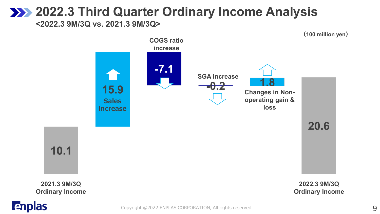### **2022.3 Third Quarter Ordinary Income Analysis**

**<2022.3 9M/3Q vs. 2021.3 9M/3Q>**



**Enplas** 

 $\mathsf{\mathsf{Copyright}}{}$   $\mathsf{\mathsf{02022}}{}$  ENPLAS CORPORATION, All rights reserved  $\mathsf{\mathsf{9}}{}$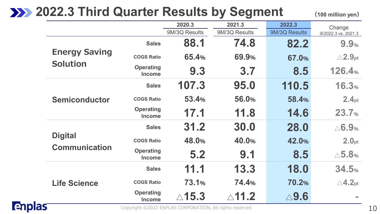### **2022.3 Third Quarter Results by Segment**

**(100 million yen)**

|               |                      |                                   | 2020.3                                                  | 2021.3           | 2022.3          |                              |
|---------------|----------------------|-----------------------------------|---------------------------------------------------------|------------------|-----------------|------------------------------|
|               |                      |                                   | 9M/3Q Results                                           | 9M/3Q Results    | 9M/3Q Results   | Change<br>X2022.3 vs. 2021.3 |
|               |                      | <b>Sales</b>                      | 88.1                                                    | 74.8             | 82.2            | 9.9%                         |
|               | <b>Energy Saving</b> | <b>COGS Ratio</b>                 | 65.4%                                                   | 69.9%            | 67.0%           | $\triangle$ 2.9pt            |
|               | <b>Solution</b>      | <b>Operating</b><br><b>Income</b> | 9.3                                                     | 3.7              | 8.5             | 126.4%                       |
|               | <b>Semiconductor</b> | <b>Sales</b>                      | 107.3                                                   | 95.0             | 110.5           | 16.3%                        |
|               |                      | <b>COGS Ratio</b>                 | 53.4%                                                   | 56.0%            | 58.4%           | 2.4 <sub>pt</sub>            |
|               |                      | <b>Operating</b><br><b>Income</b> | 17.1                                                    | 11.8             | 14.6            | 23.7%                        |
|               |                      | <b>Sales</b>                      | 31.2                                                    | 30.0             | 28.0            | $\triangle$ 6.9%             |
|               | <b>Digital</b>       | <b>COGS Ratio</b>                 | 48.0%                                                   | 40.0%            | 42.0%           | 2.0 <sub>pt</sub>            |
|               | <b>Communication</b> | <b>Operating</b><br><b>Income</b> | 5.2                                                     | 9.1              | 8.5             | $\triangle$ 5.8%             |
|               |                      | <b>Sales</b>                      | 11.1                                                    | 13.3             | 18.0            | 34.5%                        |
|               | <b>Life Science</b>  | <b>COGS Ratio</b>                 | 73.1%                                                   | 74.4%            | 70.2%           | $\triangle$ 4.2pt            |
|               |                      | <b>Operating</b><br><b>Income</b> | $\triangle$ 15.3                                        | $\triangle$ 11.2 | $\triangle$ 9.6 | <b>COL</b>                   |
| <b>Enplas</b> |                      |                                   | Copyright ©2022 ENPLAS CORPORATION, All rights reserved |                  |                 |                              |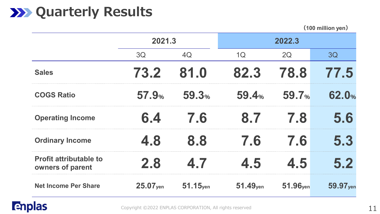### **XXX** Quarterly Results

**(100 million yen)**

|                                                   | 2021.3       |             |                      |                      |                      |
|---------------------------------------------------|--------------|-------------|----------------------|----------------------|----------------------|
|                                                   | 3Q           | 4Q          | 1Q                   | 2Q                   | 3Q                   |
| <b>Sales</b>                                      | 73.2         | 81.0        | 82.3                 | 78.8                 | 77.5                 |
| <b>COGS Ratio</b>                                 | <b>57.9%</b> | 59.3%       | 59.4 <sub>%</sub>    | 59.7 <sub>%</sub>    | 62.0%                |
| <b>Operating Income</b>                           | 6.4          | 7.6         | 8.7                  | 7.8                  | 5.6                  |
| <b>Ordinary Income</b>                            | 4.8          | 8.8         | 7.6                  | 7.6                  | 5.3                  |
| <b>Profit attributable to</b><br>owners of parent | 2.8          | 4.7         | 4.5                  | 4.5                  | 5.2                  |
| <b>Net Income Per Share</b>                       | 25.07yen     | $51.15$ yen | 51.49 <sub>yen</sub> | 51.96 <sub>yen</sub> | 59.97 <sub>yen</sub> |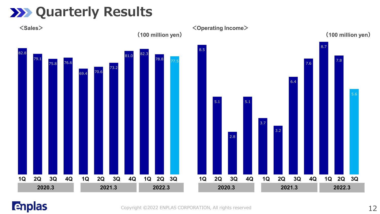### **XXX** Quarterly Results



#### **Enplas**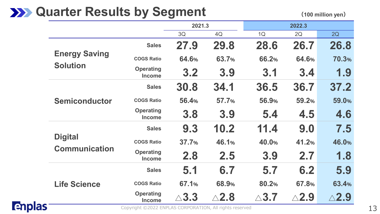### **XXX** Quarter Results by Segment

**(100 million yen)**

|               |                                         |                                                         | 2021.3          |                 |                 |                 |                 |
|---------------|-----------------------------------------|---------------------------------------------------------|-----------------|-----------------|-----------------|-----------------|-----------------|
|               |                                         |                                                         | 3Q              | 4Q              | 1Q              | 2Q              | 2Q              |
|               |                                         | <b>Sales</b>                                            | 27.9            | 29.8            | 28.6            | 26.7            | 26.8            |
|               | <b>Energy Saving</b><br><b>Solution</b> | <b>COGS Ratio</b>                                       | 64.6%           | 63.7%           | 66.2%           | 64.6%           | 70.3%           |
|               |                                         | <b>Operating</b><br><b>Income</b>                       | 3.2             | 3.9             | 3.1             | 3.4             | 1.9             |
|               |                                         | <b>Sales</b>                                            | 30.8            | 34.1            | 36.5            | 36.7            | 37.2            |
|               | <b>Semiconductor</b>                    | <b>COGS Ratio</b>                                       | 56.4%           | 57.7%           | 56.9%           | 59.2%           | 59.0%           |
|               |                                         | <b>Operating</b><br><b>Income</b>                       | 3.8             | 3.9             | 5.4             | 4.5             | 4.6             |
|               |                                         | <b>Sales</b>                                            | 9.3             | 10.2            | 11.4            | 9.0             | 7.5             |
|               | <b>Digital</b><br><b>Communication</b>  | <b>COGS Ratio</b>                                       | 37.7%           | 46.1%           | 40.0%           | 41.2%           | 46.0%           |
|               |                                         | <b>Operating</b><br><b>Income</b>                       | 2.8             | 2.5             | 3.9             | 2.7             | 1.8             |
|               | <b>Life Science</b>                     | <b>Sales</b>                                            | 5.1             | 6.7             | 5.7             | 6.2             | 5.9             |
|               |                                         | <b>COGS Ratio</b>                                       | 67.1%           | 68.9%           | 80.2%           | 67.8%           | 63.4%           |
|               |                                         | <b>Operating</b><br><b>Income</b>                       | $\triangle$ 3.3 | $\triangle$ 2.8 | $\triangle$ 3.7 | $\triangle$ 2.9 | $\triangle$ 2.9 |
| <b>Enplas</b> |                                         | Copyright ©2022 ENPLAS CORPORATION, All rights reserved |                 |                 |                 |                 |                 |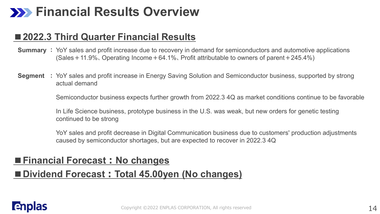### **Financial Results Overview**

#### ■**2022.3 Third Quarter Financial Results**

- **Summary :** YoY sales and profit increase due to recovery in demand for semiconductors and automotive applications  $(Sales + 11.9\%, Operating Income + 64.1\%, Profit attribute to owners of parent + 245.4\%)$
- **Segment :** YoY sales and profit increase in Energy Saving Solution and Semiconductor business, supported by strong actual demand

Semiconductor business expects further growth from 2022.3 4Q as market conditions continue to be favorable

In Life Science business, prototype business in the U.S. was weak, but new orders for genetic testing continued to be strong

YoY sales and profit decrease in Digital Communication business due to customers' production adjustments caused by semiconductor shortages, but are expected to recover in 2022.3 4Q

#### **■Financial Forecast:No changes**

#### **■Dividend Forecast:Total 45.00yen (No changes)**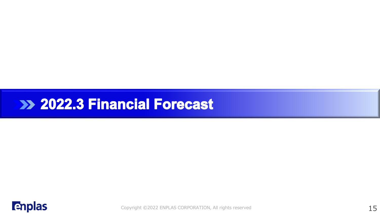### **Example 2022.3 Financial Forecast**

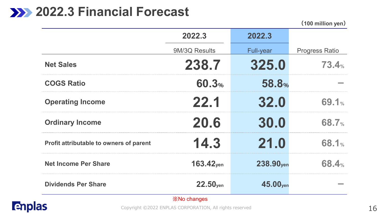### **2022.3 Financial Forecast**

**(100 million yen)**

|                                         | 2022.3              | 2022.3                |                       |
|-----------------------------------------|---------------------|-----------------------|-----------------------|
|                                         | 9M/3Q Results       | <b>Full-year</b>      | <b>Progress Ratio</b> |
| <b>Net Sales</b>                        | 238.7               | 325.0                 | 73.4%                 |
| <b>COGS Ratio</b>                       | 60.3%               | 58.8%                 |                       |
| <b>Operating Income</b>                 | 22.1                | 32.0                  | 69.1%                 |
| <b>Ordinary Income</b>                  | 20.6                | 30.0                  | <b>68.7%</b>          |
| Profit attributable to owners of parent | 14.3                | 21.0                  | 68.1%                 |
| <b>Net Income Per Share</b>             | $163.42$ yen        | 238.90 <sub>ven</sub> | <b>68.4%</b>          |
| <b>Dividends Per Share</b>              | $22.50$ yen         | 45.00 <sub>yen</sub>  |                       |
|                                         | <b>X</b> No changes |                       |                       |

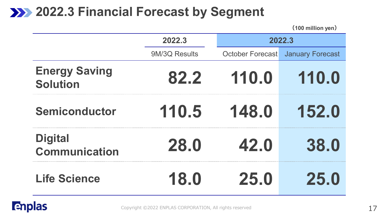### **2022.3 Financial Forecast by Segment**

|                                         | 2022.3        |                         | 2022.3                  |  |  |  |  |
|-----------------------------------------|---------------|-------------------------|-------------------------|--|--|--|--|
|                                         | 9M/3Q Results | <b>October Forecast</b> | <b>January Forecast</b> |  |  |  |  |
| <b>Energy Saving</b><br><b>Solution</b> | 82.2          | 110.0                   | 110.0                   |  |  |  |  |
| <b>Semiconductor</b>                    | 110.5         | 148.0                   | 152.0                   |  |  |  |  |
| <b>Digital</b><br><b>Communication</b>  | 28.0          | 42.0                    | 38.0                    |  |  |  |  |
| <b>Life Science</b>                     | 18.0          | 25.0                    | 25.0                    |  |  |  |  |

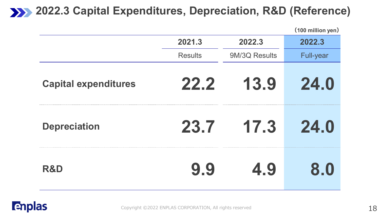### **2022.3 Capital Expenditures, Depreciation, R&D (Reference)**

|                             |                |               | (100 million yen) |
|-----------------------------|----------------|---------------|-------------------|
|                             | 2021.3         | 2022.3        | 2022.3            |
|                             | <b>Results</b> | 9M/3Q Results | <b>Full-year</b>  |
| <b>Capital expenditures</b> | 22.2           | 13.9          | 24.0              |
| <b>Depreciation</b>         | 23.7           | 17.3          | 24.0              |
| <b>R&amp;D</b>              | 9.9            | 4.9           | 8.0               |

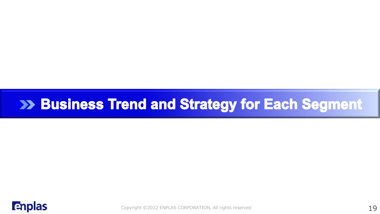### >> Business Trend and Strategy for Each Segment

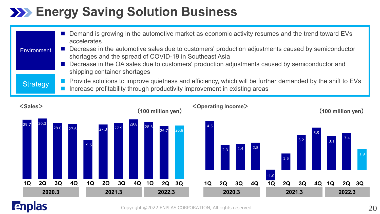### **Energy Saving Solution Business**

| <b>Environment</b> | Demand is growing in the automotive market as economic activity resumes and the trend toward EVs<br>accelerates<br>Decrease in the automotive sales due to customers' production adjustments caused by semiconductor<br>shortages and the spread of COVID-19 in Southeast Asia<br>Decrease in the OA sales due to customers' production adjustments caused by semiconductor and<br>shipping container shortages |
|--------------------|-----------------------------------------------------------------------------------------------------------------------------------------------------------------------------------------------------------------------------------------------------------------------------------------------------------------------------------------------------------------------------------------------------------------|
| Strategy           | ■ Provide solutions to improve quietness and efficiency, which will be further demanded by the shift to EVs<br>Increase profitability through productivity improvement in existing areas                                                                                                                                                                                                                        |



#### **Enplas**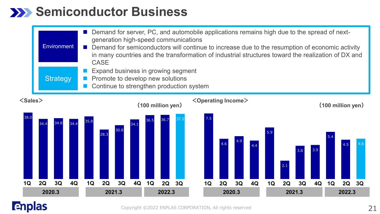### **Semiconductor Business**

|                   |    | <b>Environment</b><br><b>Strategy</b> |    | Demand for server, PC, and automobile applications remains high due to the spread of next-<br>generation high-speed communications<br>Demand for semiconductors will continue to increase due to the resumption of economic activity<br>in many countries and the transformation of industrial structures toward the realization of DX and<br><b>CASE</b><br>Expand business in growing segment<br>Promote to develop new solutions<br>Continue to strengthen production system |            |            |            |            |                   |    |        |           |                                   |                  |    |           |           |           |           |           |                             |    |
|-------------------|----|---------------------------------------|----|---------------------------------------------------------------------------------------------------------------------------------------------------------------------------------------------------------------------------------------------------------------------------------------------------------------------------------------------------------------------------------------------------------------------------------------------------------------------------------|------------|------------|------------|------------|-------------------|----|--------|-----------|-----------------------------------|------------------|----|-----------|-----------|-----------|-----------|-----------|-----------------------------|----|
| <sales></sales>   |    |                                       |    |                                                                                                                                                                                                                                                                                                                                                                                                                                                                                 |            |            |            |            | (100 million yen) |    |        |           | <operating income=""></operating> |                  |    |           |           |           |           |           | $(100 \text{ million yen})$ |    |
| 38.0<br><b>1Q</b> | 2Q | 3Q                                    | 4Q | 35.8<br>1Q                                                                                                                                                                                                                                                                                                                                                                                                                                                                      | 28.3<br>2Q | 30.8<br>3Q | 34.1<br>4Q | 36.5<br>1Q | 36.7<br>2Q        | 3Q |        | 7.5<br>1Q | 4.6<br>2Q                         | 3Q               | 4Q | 5.9<br>1Q | 2.1<br>2Q | 3.8<br>3Q | 3.9<br>4Q | 5.4<br>1Q | 4.5<br>2Q                   | 3Q |
| 2020.3            |    |                                       |    | 2021.3<br>2022.3                                                                                                                                                                                                                                                                                                                                                                                                                                                                |            |            |            |            |                   |    | 2020.3 |           |                                   | 2021.3<br>2022.3 |    |           |           |           |           |           |                             |    |

### **Enplas**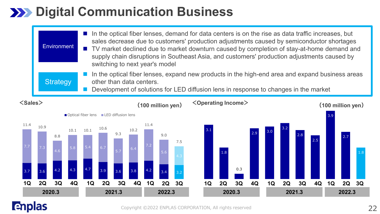### **22 Digital Communication Business**

| $\textsf{Sales}$   | $\langle$ Operating Income $\rangle$<br>$\mathbf{1}$                                                                                                                                                                                                                                                                                                                                                                            |  |
|--------------------|---------------------------------------------------------------------------------------------------------------------------------------------------------------------------------------------------------------------------------------------------------------------------------------------------------------------------------------------------------------------------------------------------------------------------------|--|
| <b>Strategy</b>    | In the optical fiber lenses, expand new products in the high-end area and expand business areas<br>other than data centers.<br>Development of solutions for LED diffusion lens in response to changes in the market                                                                                                                                                                                                             |  |
| <b>Environment</b> | In the optical fiber lenses, demand for data centers is on the rise as data traffic increases, but<br>sales decrease due to customers' production adjustments caused by semiconductor shortages<br>■ TV market declined due to market downturn caused by completion of stay-at-home demand and<br>supply chain disruptions in Southeast Asia, and customers' production adjustments caused by<br>switching to next year's model |  |



#### **Enplas**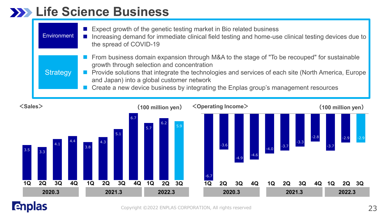### **Life Science Business**